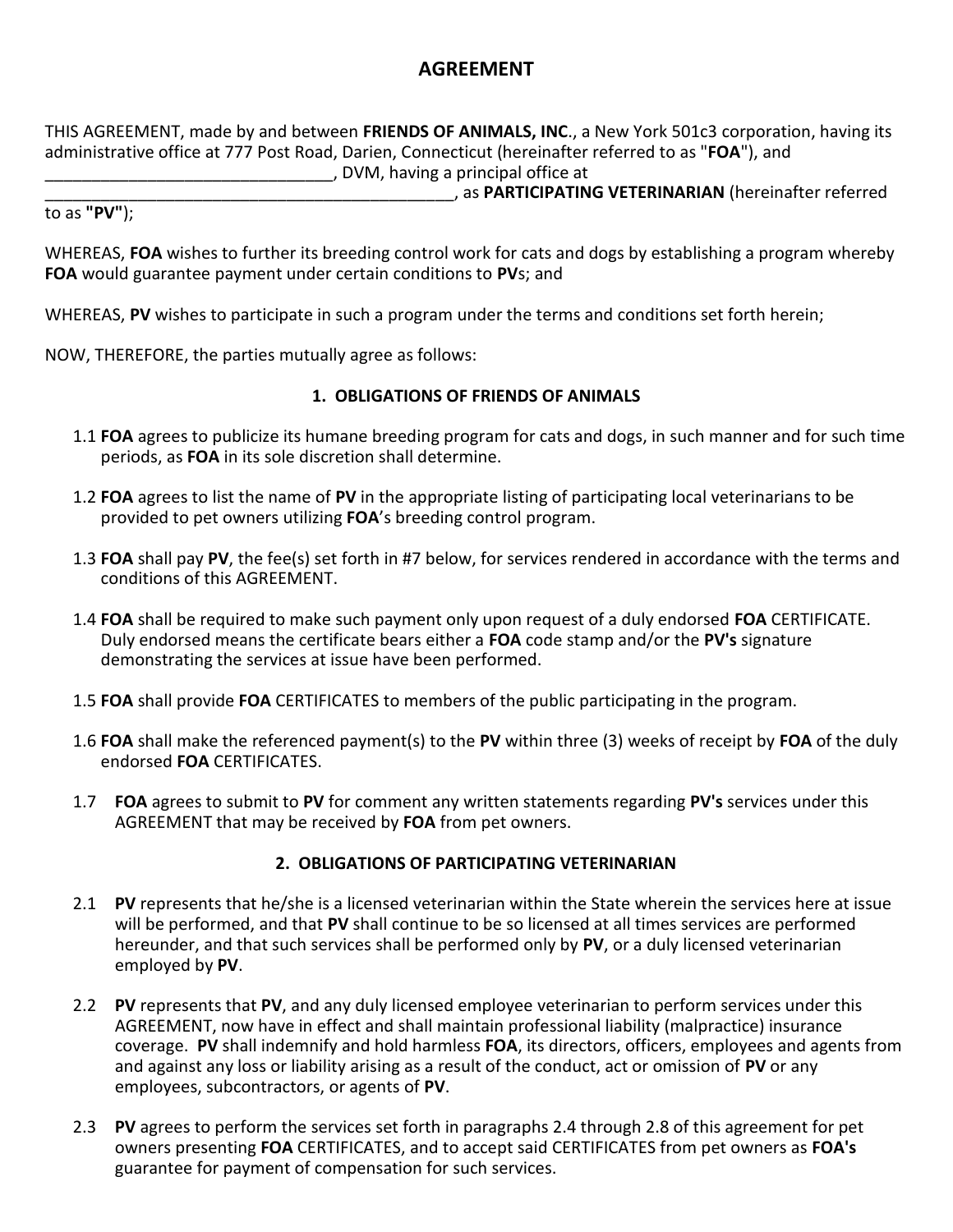# **AGREEMENT**

THIS AGREEMENT, made by and between **FRIENDS OF ANIMALS, INC**., a New York 501c3 corporation, having its administrative office at 777 Post Road, Darien, Connecticut (hereinafter referred to as "**FOA**"), and \_\_\_\_\_\_\_\_\_\_\_\_\_\_\_\_\_\_\_\_\_\_\_\_\_\_\_\_\_\_\_, DVM, having a principal office at

\_\_\_\_\_\_\_\_\_\_\_\_\_\_\_\_\_\_\_\_\_\_\_\_\_\_\_\_\_\_\_\_\_\_\_\_\_\_\_\_\_\_\_\_, as **PARTICIPATING VETERINARIAN** (hereinafter referred

to as **"PV"**);

WHEREAS, **FOA** wishes to further its breeding control work for cats and dogs by establishing a program whereby **FOA** would guarantee payment under certain conditions to **PV**s; and

WHEREAS, **PV** wishes to participate in such a program under the terms and conditions set forth herein;

NOW, THEREFORE, the parties mutually agree as follows:

### **1. OBLIGATIONS OF FRIENDS OF ANIMALS**

- 1.1 **FOA** agrees to publicize its humane breeding program for cats and dogs, in such manner and for such time periods, as **FOA** in its sole discretion shall determine.
- 1.2 **FOA** agrees to list the name of **PV** in the appropriate listing of participating local veterinarians to be provided to pet owners utilizing **FOA**'s breeding control program.
- 1.3 **FOA** shall pay **PV**, the fee(s) set forth in #7 below, for services rendered in accordance with the terms and conditions of this AGREEMENT.
- 1.4 **FOA** shall be required to make such payment only upon request of a duly endorsed **FOA** CERTIFICATE. Duly endorsed means the certificate bears either a **FOA** code stamp and/or the **PV's** signature demonstrating the services at issue have been performed.
- 1.5 **FOA** shall provide **FOA** CERTIFICATES to members of the public participating in the program.
- 1.6 **FOA** shall make the referenced payment(s) to the **PV** within three (3) weeks of receipt by **FOA** of the duly endorsed **FOA** CERTIFICATES.
- 1.7 **FOA** agrees to submit to **PV** for comment any written statements regarding **PV's** services under this AGREEMENT that may be received by **FOA** from pet owners.

## **2. OBLIGATIONS OF PARTICIPATING VETERINARIAN**

- 2.1 **PV** represents that he/she is a licensed veterinarian within the State wherein the services here at issue will be performed, and that **PV** shall continue to be so licensed at all times services are performed hereunder, and that such services shall be performed only by **PV**, or a duly licensed veterinarian employed by **PV**.
- 2.2 **PV** represents that **PV**, and any duly licensed employee veterinarian to perform services under this AGREEMENT, now have in effect and shall maintain professional liability (malpractice) insurance coverage. **PV** shall indemnify and hold harmless **FOA**, its directors, officers, employees and agents from and against any loss or liability arising as a result of the conduct, act or omission of **PV** or any employees, subcontractors, or agents of **PV**.
- 2.3 **PV** agrees to perform the services set forth in paragraphs 2.4 through 2.8 of this agreement for pet owners presenting **FOA** CERTIFICATES, and to accept said CERTIFICATES from pet owners as **FOA's** guarantee for payment of compensation for such services.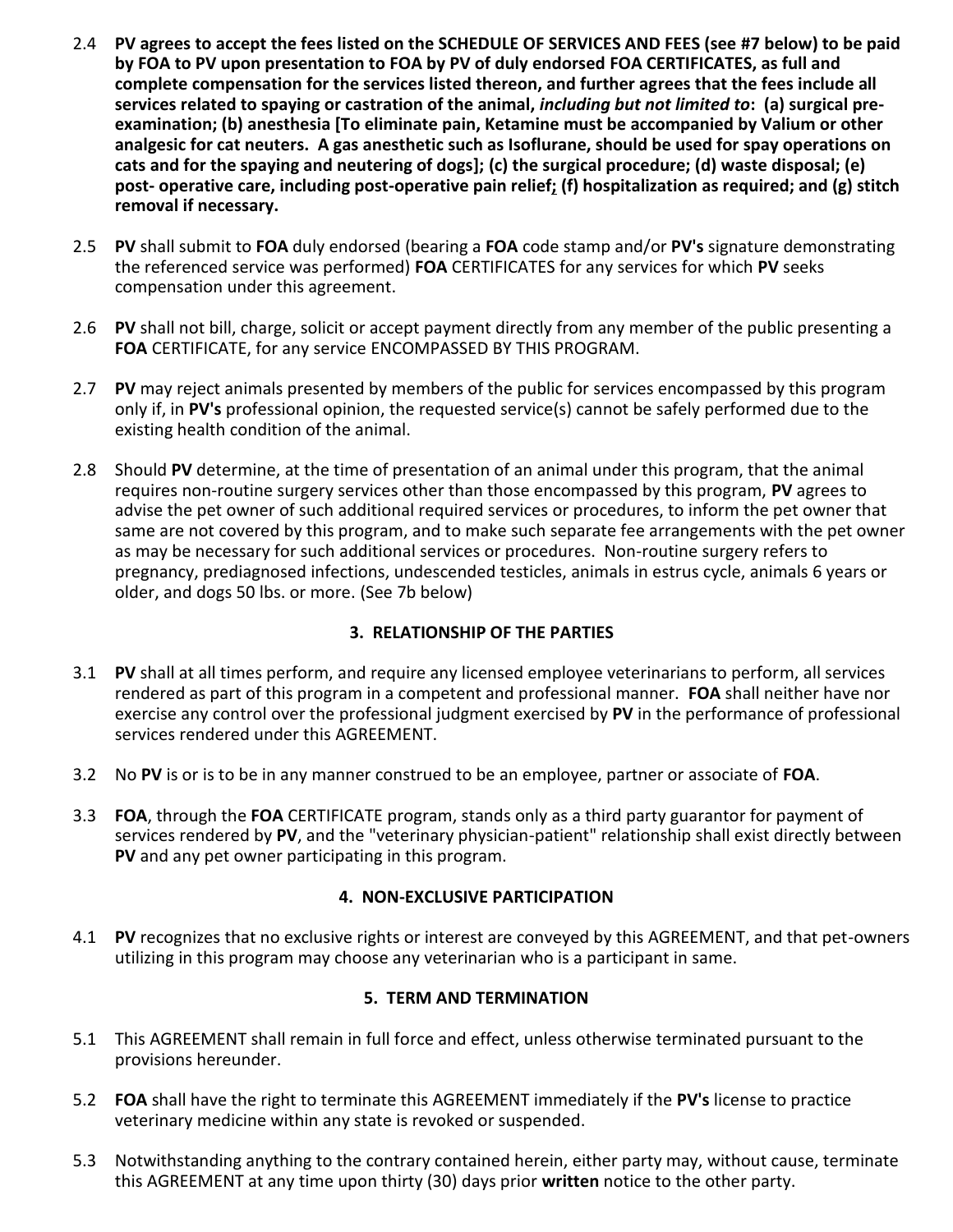- 2.4 **PV agrees to accept the fees listed on the SCHEDULE OF SERVICES AND FEES (see #7 below) to be paid by FOA to PV upon presentation to FOA by PV of duly endorsed FOA CERTIFICATES, as full and complete compensation for the services listed thereon, and further agrees that the fees include all services related to spaying or castration of the animal,** *including but not limited to***: (a) surgical preexamination; (b) anesthesia [To eliminate pain, Ketamine must be accompanied by Valium or other analgesic for cat neuters. A gas anesthetic such as Isoflurane, should be used for spay operations on cats and for the spaying and neutering of dogs]; (c) the surgical procedure; (d) waste disposal; (e) post- operative care, including post-operative pain relief; (f) hospitalization as required; and (g) stitch removal if necessary.**
- 2.5 **PV** shall submit to **FOA** duly endorsed (bearing a **FOA** code stamp and/or **PV's** signature demonstrating the referenced service was performed) **FOA** CERTIFICATES for any services for which **PV** seeks compensation under this agreement.
- 2.6 **PV** shall not bill, charge, solicit or accept payment directly from any member of the public presenting a **FOA** CERTIFICATE, for any service ENCOMPASSED BY THIS PROGRAM.
- 2.7 **PV** may reject animals presented by members of the public for services encompassed by this program only if, in **PV's** professional opinion, the requested service(s) cannot be safely performed due to the existing health condition of the animal.
- 2.8 Should **PV** determine, at the time of presentation of an animal under this program, that the animal requires non-routine surgery services other than those encompassed by this program, **PV** agrees to advise the pet owner of such additional required services or procedures, to inform the pet owner that same are not covered by this program, and to make such separate fee arrangements with the pet owner as may be necessary for such additional services or procedures. Non-routine surgery refers to pregnancy, prediagnosed infections, undescended testicles, animals in estrus cycle, animals 6 years or older, and dogs 50 lbs. or more. (See 7b below)

## **3. RELATIONSHIP OF THE PARTIES**

- 3.1 **PV** shall at all times perform, and require any licensed employee veterinarians to perform, all services rendered as part of this program in a competent and professional manner. **FOA** shall neither have nor exercise any control over the professional judgment exercised by **PV** in the performance of professional services rendered under this AGREEMENT.
- 3.2 No **PV** is or is to be in any manner construed to be an employee, partner or associate of **FOA**.
- 3.3 **FOA**, through the **FOA** CERTIFICATE program, stands only as a third party guarantor for payment of services rendered by **PV**, and the "veterinary physician-patient" relationship shall exist directly between **PV** and any pet owner participating in this program.

#### **4. NON-EXCLUSIVE PARTICIPATION**

4.1 **PV** recognizes that no exclusive rights or interest are conveyed by this AGREEMENT, and that pet-owners utilizing in this program may choose any veterinarian who is a participant in same.

## **5. TERM AND TERMINATION**

- 5.1 This AGREEMENT shall remain in full force and effect, unless otherwise terminated pursuant to the provisions hereunder.
- 5.2 **FOA** shall have the right to terminate this AGREEMENT immediately if the **PV's** license to practice veterinary medicine within any state is revoked or suspended.
- 5.3 Notwithstanding anything to the contrary contained herein, either party may, without cause, terminate this AGREEMENT at any time upon thirty (30) days prior **written** notice to the other party.